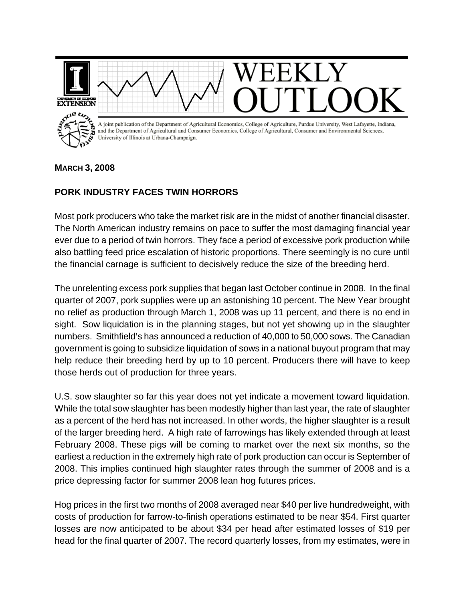

## **MARCH 3, 2008**

## **PORK INDUSTRY FACES TWIN HORRORS**

Most pork producers who take the market risk are in the midst of another financial disaster. The North American industry remains on pace to suffer the most damaging financial year ever due to a period of twin horrors. They face a period of excessive pork production while also battling feed price escalation of historic proportions. There seemingly is no cure until the financial carnage is sufficient to decisively reduce the size of the breeding herd.

The unrelenting excess pork supplies that began last October continue in 2008. In the final quarter of 2007, pork supplies were up an astonishing 10 percent. The New Year brought no relief as production through March 1, 2008 was up 11 percent, and there is no end in sight. Sow liquidation is in the planning stages, but not yet showing up in the slaughter numbers. Smithfield's has announced a reduction of 40,000 to 50,000 sows. The Canadian government is going to subsidize liquidation of sows in a national buyout program that may help reduce their breeding herd by up to 10 percent. Producers there will have to keep those herds out of production for three years.

U.S. sow slaughter so far this year does not yet indicate a movement toward liquidation. While the total sow slaughter has been modestly higher than last year, the rate of slaughter as a percent of the herd has not increased. In other words, the higher slaughter is a result of the larger breeding herd. A high rate of farrowings has likely extended through at least February 2008. These pigs will be coming to market over the next six months, so the earliest a reduction in the extremely high rate of pork production can occur is September of 2008. This implies continued high slaughter rates through the summer of 2008 and is a price depressing factor for summer 2008 lean hog futures prices.

Hog prices in the first two months of 2008 averaged near \$40 per live hundredweight, with costs of production for farrow-to-finish operations estimated to be near \$54. First quarter losses are now anticipated to be about \$34 per head after estimated losses of \$19 per head for the final quarter of 2007. The record quarterly losses, from my estimates, were in